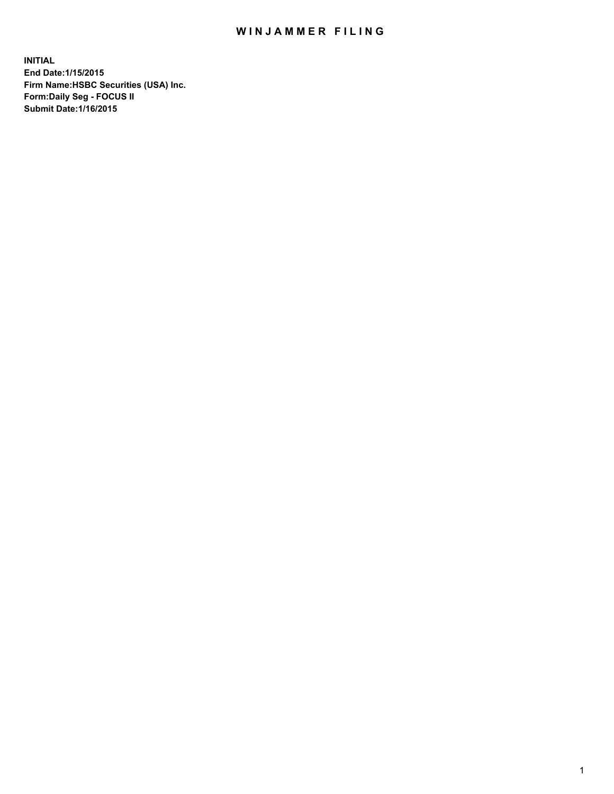## WIN JAMMER FILING

**INITIAL End Date:1/15/2015 Firm Name:HSBC Securities (USA) Inc. Form:Daily Seg - FOCUS II Submit Date:1/16/2015**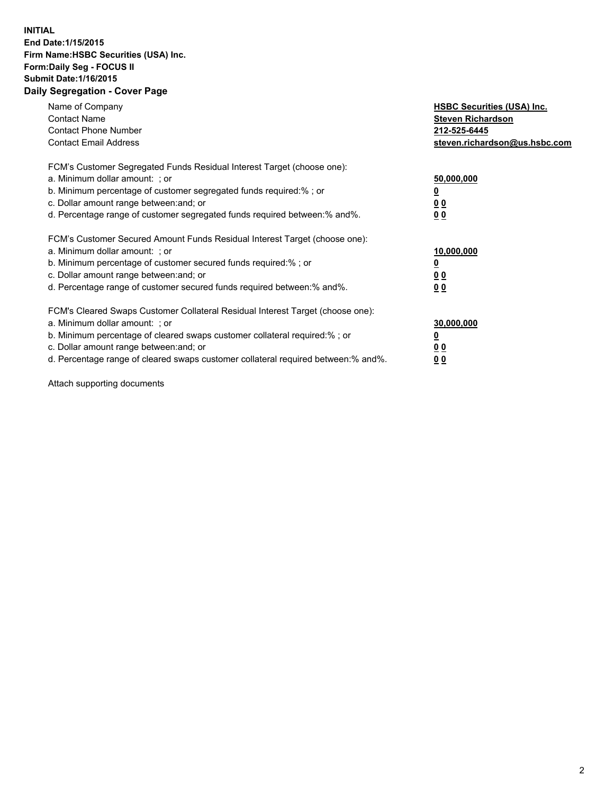## **INITIAL End Date:1/15/2015 Firm Name:HSBC Securities (USA) Inc. Form:Daily Seg - FOCUS II Submit Date:1/16/2015 Daily Segregation - Cover Page**

| Name of Company<br><b>Contact Name</b><br><b>Contact Phone Number</b><br><b>Contact Email Address</b>                                                                                                                                                                                                                          | <b>HSBC Securities (USA) Inc.</b><br><b>Steven Richardson</b><br>212-525-6445<br>steven.richardson@us.hsbc.com |
|--------------------------------------------------------------------------------------------------------------------------------------------------------------------------------------------------------------------------------------------------------------------------------------------------------------------------------|----------------------------------------------------------------------------------------------------------------|
| FCM's Customer Segregated Funds Residual Interest Target (choose one):<br>a. Minimum dollar amount: ; or<br>b. Minimum percentage of customer segregated funds required:%; or<br>c. Dollar amount range between: and; or<br>d. Percentage range of customer segregated funds required between: % and %.                        | 50,000,000<br>0 <sub>0</sub><br>0 <sub>0</sub>                                                                 |
| FCM's Customer Secured Amount Funds Residual Interest Target (choose one):<br>a. Minimum dollar amount: ; or<br>b. Minimum percentage of customer secured funds required:%; or<br>c. Dollar amount range between: and; or<br>d. Percentage range of customer secured funds required between:% and%.                            | 10,000,000<br><u>0</u><br>0 <sub>0</sub><br>0 <sub>0</sub>                                                     |
| FCM's Cleared Swaps Customer Collateral Residual Interest Target (choose one):<br>a. Minimum dollar amount: ; or<br>b. Minimum percentage of cleared swaps customer collateral required:% ; or<br>c. Dollar amount range between: and; or<br>d. Percentage range of cleared swaps customer collateral required between:% and%. | 30,000,000<br>00<br><u>00</u>                                                                                  |

Attach supporting documents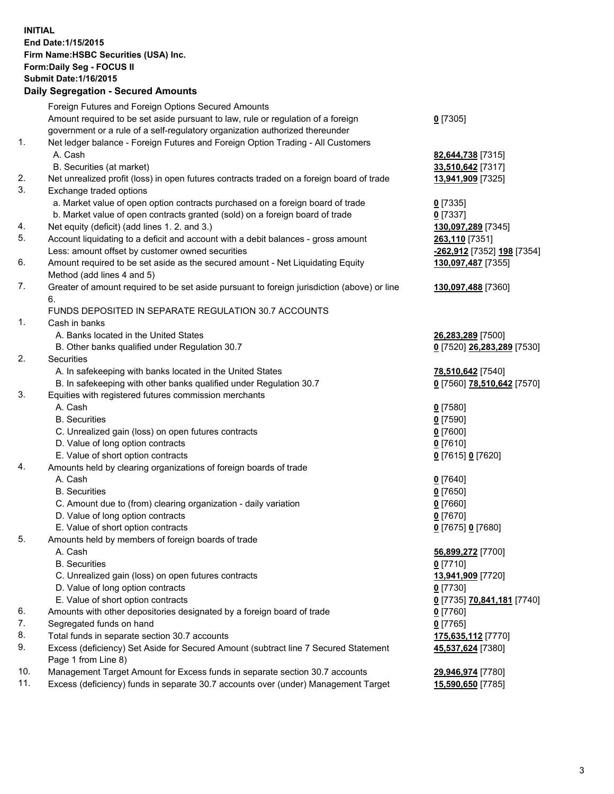**INITIAL End Date:1/15/2015 Firm Name:HSBC Securities (USA) Inc. Form:Daily Seg - FOCUS II Submit Date:1/16/2015 Daily Segregation - Secured Amounts**

|          | Daily Segregation - Secured Amounts                                                                        |                                          |
|----------|------------------------------------------------------------------------------------------------------------|------------------------------------------|
|          | Foreign Futures and Foreign Options Secured Amounts                                                        |                                          |
|          | Amount required to be set aside pursuant to law, rule or regulation of a foreign                           | $0$ [7305]                               |
|          | government or a rule of a self-regulatory organization authorized thereunder                               |                                          |
| 1.       | Net ledger balance - Foreign Futures and Foreign Option Trading - All Customers                            |                                          |
|          | A. Cash                                                                                                    | 82,644,738 [7315]                        |
|          | B. Securities (at market)                                                                                  | 33,510,642 [7317]                        |
| 2.       | Net unrealized profit (loss) in open futures contracts traded on a foreign board of trade                  | 13,941,909 [7325]                        |
| 3.       | Exchange traded options                                                                                    |                                          |
|          | a. Market value of open option contracts purchased on a foreign board of trade                             | $0$ [7335]                               |
|          | b. Market value of open contracts granted (sold) on a foreign board of trade                               | $0$ [7337]                               |
| 4.       | Net equity (deficit) (add lines 1. 2. and 3.)                                                              | 130,097,289 [7345]                       |
| 5.       | Account liquidating to a deficit and account with a debit balances - gross amount                          | 263,110 [7351]                           |
|          | Less: amount offset by customer owned securities                                                           | -262,912 [7352] 198 [7354]               |
| 6.       | Amount required to be set aside as the secured amount - Net Liquidating Equity                             | 130,097,487 [7355]                       |
|          | Method (add lines 4 and 5)                                                                                 |                                          |
| 7.       | Greater of amount required to be set aside pursuant to foreign jurisdiction (above) or line                | 130,097,488 [7360]                       |
|          | 6.                                                                                                         |                                          |
|          | FUNDS DEPOSITED IN SEPARATE REGULATION 30.7 ACCOUNTS                                                       |                                          |
| 1.       | Cash in banks                                                                                              |                                          |
|          | A. Banks located in the United States                                                                      | 26,283,289 [7500]                        |
|          | B. Other banks qualified under Regulation 30.7                                                             | 0 [7520] 26,283,289 [7530]               |
| 2.       | Securities                                                                                                 |                                          |
|          | A. In safekeeping with banks located in the United States                                                  | 78,510,642 [7540]                        |
|          | B. In safekeeping with other banks qualified under Regulation 30.7                                         | 0 [7560] 78,510,642 [7570]               |
| 3.       | Equities with registered futures commission merchants                                                      |                                          |
|          | A. Cash                                                                                                    | $0$ [7580]                               |
|          | <b>B.</b> Securities                                                                                       | $0$ [7590]                               |
|          | C. Unrealized gain (loss) on open futures contracts                                                        | $0$ [7600]                               |
|          | D. Value of long option contracts                                                                          | $0$ [7610]                               |
|          | E. Value of short option contracts                                                                         | 0 [7615] 0 [7620]                        |
| 4.       | Amounts held by clearing organizations of foreign boards of trade                                          |                                          |
|          | A. Cash                                                                                                    | $0$ [7640]                               |
|          | <b>B.</b> Securities                                                                                       | $0$ [7650]                               |
|          | C. Amount due to (from) clearing organization - daily variation                                            | $0$ [7660]                               |
|          | D. Value of long option contracts                                                                          | $0$ [7670]                               |
|          | E. Value of short option contracts                                                                         | 0 [7675] 0 [7680]                        |
| 5.       | Amounts held by members of foreign boards of trade                                                         |                                          |
|          | A. Cash                                                                                                    | 56,899,272 [7700]                        |
|          | <b>B.</b> Securities                                                                                       | $0$ [7710]                               |
|          | C. Unrealized gain (loss) on open futures contracts                                                        | 13,941,909 [7720]                        |
|          | D. Value of long option contracts                                                                          | $0$ [7730]                               |
|          | E. Value of short option contracts                                                                         |                                          |
|          | Amounts with other depositories designated by a foreign board of trade                                     | <u>0</u> [7735] <b>70,841,181</b> [7740] |
| 6.<br>7. | Segregated funds on hand                                                                                   | 0 [7760]                                 |
| 8.       |                                                                                                            | $0$ [7765]                               |
| 9.       | Total funds in separate section 30.7 accounts                                                              | 175,635,112 [7770]                       |
|          | Excess (deficiency) Set Aside for Secured Amount (subtract line 7 Secured Statement<br>Page 1 from Line 8) | 45,537,624 [7380]                        |
| 10.      | Management Target Amount for Excess funds in separate section 30.7 accounts                                |                                          |
| 11.      | Excess (deficiency) funds in separate 30.7 accounts over (under) Management Target                         | 29,946,974 [7780]<br>15,590,650 [7785]   |
|          |                                                                                                            |                                          |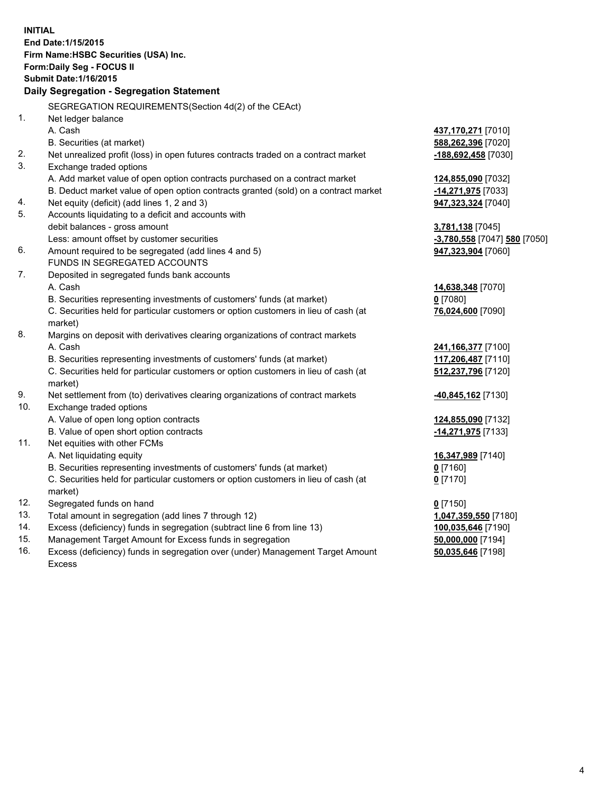| <b>INITIAL</b>                            | End Date: 1/15/2015<br>Firm Name: HSBC Securities (USA) Inc.<br>Form: Daily Seg - FOCUS II      |                                            |  |  |  |  |
|-------------------------------------------|-------------------------------------------------------------------------------------------------|--------------------------------------------|--|--|--|--|
| <b>Submit Date: 1/16/2015</b>             |                                                                                                 |                                            |  |  |  |  |
| Daily Segregation - Segregation Statement |                                                                                                 |                                            |  |  |  |  |
|                                           | SEGREGATION REQUIREMENTS(Section 4d(2) of the CEAct)                                            |                                            |  |  |  |  |
| 1.                                        | Net ledger balance                                                                              |                                            |  |  |  |  |
|                                           | A. Cash                                                                                         | 437,170,271 [7010]                         |  |  |  |  |
|                                           | B. Securities (at market)                                                                       | 588,262,396 [7020]                         |  |  |  |  |
| 2.                                        | Net unrealized profit (loss) in open futures contracts traded on a contract market              | -188,692,458 [7030]                        |  |  |  |  |
| 3.                                        | Exchange traded options                                                                         |                                            |  |  |  |  |
|                                           | A. Add market value of open option contracts purchased on a contract market                     | 124,855,090 [7032]                         |  |  |  |  |
|                                           | B. Deduct market value of open option contracts granted (sold) on a contract market             | -14,271,975 [7033]                         |  |  |  |  |
| 4.                                        | Net equity (deficit) (add lines 1, 2 and 3)                                                     | 947,323,324 [7040]                         |  |  |  |  |
| 5.                                        | Accounts liquidating to a deficit and accounts with                                             |                                            |  |  |  |  |
|                                           | debit balances - gross amount                                                                   | 3,781,138 [7045]                           |  |  |  |  |
|                                           | Less: amount offset by customer securities                                                      | -3,780,558 [7047] 580 [7050]               |  |  |  |  |
| 6.                                        | Amount required to be segregated (add lines 4 and 5)                                            | 947,323,904 [7060]                         |  |  |  |  |
|                                           | FUNDS IN SEGREGATED ACCOUNTS                                                                    |                                            |  |  |  |  |
| 7.                                        | Deposited in segregated funds bank accounts                                                     |                                            |  |  |  |  |
|                                           | A. Cash                                                                                         | 14,638,348 [7070]                          |  |  |  |  |
|                                           | B. Securities representing investments of customers' funds (at market)                          | $0$ [7080]                                 |  |  |  |  |
|                                           | C. Securities held for particular customers or option customers in lieu of cash (at             | 76,024,600 [7090]                          |  |  |  |  |
| 8.                                        | market)                                                                                         |                                            |  |  |  |  |
|                                           | Margins on deposit with derivatives clearing organizations of contract markets<br>A. Cash       |                                            |  |  |  |  |
|                                           | B. Securities representing investments of customers' funds (at market)                          | 241, 166, 377 [7100]<br>117,206,487 [7110] |  |  |  |  |
|                                           | C. Securities held for particular customers or option customers in lieu of cash (at             | 512,237,796 [7120]                         |  |  |  |  |
|                                           | market)                                                                                         |                                            |  |  |  |  |
| 9.                                        | Net settlement from (to) derivatives clearing organizations of contract markets                 | <u>-40,845,162</u> [7130]                  |  |  |  |  |
| 10.                                       | Exchange traded options                                                                         |                                            |  |  |  |  |
|                                           | A. Value of open long option contracts                                                          | 124,855,090 [7132]                         |  |  |  |  |
|                                           | B. Value of open short option contracts                                                         | -14,271,975 [7133]                         |  |  |  |  |
| 11.                                       | Net equities with other FCMs                                                                    |                                            |  |  |  |  |
|                                           | A. Net liquidating equity                                                                       | 16,347,989 [7140]                          |  |  |  |  |
|                                           | B. Securities representing investments of customers' funds (at market)                          | $0$ [7160]                                 |  |  |  |  |
|                                           | C. Securities held for particular customers or option customers in lieu of cash (at             | $0$ [7170]                                 |  |  |  |  |
|                                           | market)                                                                                         |                                            |  |  |  |  |
| 12.                                       | Segregated funds on hand                                                                        | $0$ [7150]                                 |  |  |  |  |
| 13.                                       | Total amount in segregation (add lines 7 through 12)                                            | 1,047,359,550 [7180]                       |  |  |  |  |
| 14.                                       | Excess (deficiency) funds in segregation (subtract line 6 from line 13)                         | 100,035,646 [7190]                         |  |  |  |  |
| 15.<br>16.                                | Management Target Amount for Excess funds in segregation                                        | 50,000,000 [7194]                          |  |  |  |  |
|                                           | Excess (deficiency) funds in segregation over (under) Management Target Amount<br><b>Excess</b> | 50,035,646 [7198]                          |  |  |  |  |
|                                           |                                                                                                 |                                            |  |  |  |  |